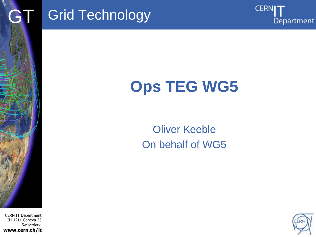

# Grid Technology



# **Ops TEG WG5**

#### Oliver Keeble On behalf of WG5

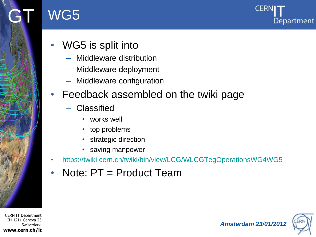

### WG5



- WG5 is split into
	- Middleware distribution
	- Middleware deployment
	- Middleware configuration
- Feedback assembled on the twiki page
	- Classified
		- works well
		- top problems
		- strategic direction
		- saving manpower
- <https://twiki.cern.ch/twiki/bin/view/LCG/WLCGTegOperationsWG4WG5>
- Note: PT = Product Team

CERN IT Department CH-1211 Geneva 23 **Switzerland www.cern.ch/it**

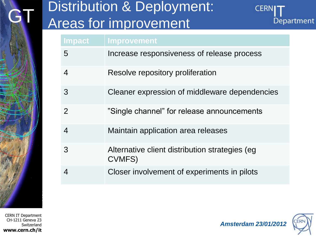# GT Distribution & Deployment: Areas for improvement



| <b>Impact</b>    | Improvement                                              |
|------------------|----------------------------------------------------------|
| 5                | Increase responsiveness of release process               |
| 4                | Resolve repository proliferation                         |
| 3                | Cleaner expression of middleware dependencies            |
| $\mathcal{P}$    | "Single channel" for release announcements               |
| $\overline{4}$   | Maintain application area releases                       |
| 3                | Alternative client distribution strategies (eg<br>CVMFS) |
| $\boldsymbol{4}$ | Closer involvement of experiments in pilots              |

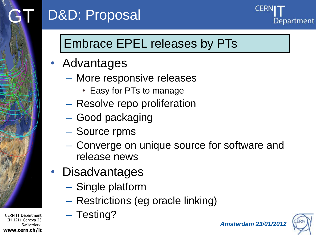

## D&D: Proposal



### Embrace EPEL releases by PTs

- Advantages
	- More responsive releases
		- Easy for PTs to manage
	- Resolve repo proliferation
	- Good packaging
	- Source rpms
	- Converge on unique source for software and release news
- **Disadvantages** 
	- Single platform
	- Restrictions (eg oracle linking)
	- Testing?

*Amsterdam 23/01/2012*

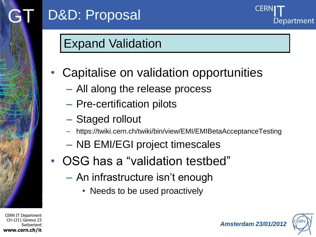

Department

#### Expand Validation

- Capitalise on validation opportunities
	- All along the release process
	- Pre-certification pilots
	- Staged rollout
	- https://twiki.cern.ch/twiki/bin/view/EMI/EMIBetaAcceptanceTesting
	- NB EMI/EGI project timescales
- OSG has a "validation testbed"
	- An infrastructure isn"t enough
		- Needs to be used proactively



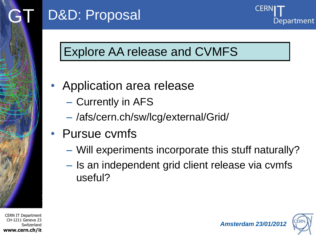

# D&D: Proposal



### Explore AA release and CVMFS

- Application area release
	- Currently in AFS
	- /afs/cern.ch/sw/lcg/external/Grid/
- Pursue cvmfs
	- Will experiments incorporate this stuff naturally?
	- Is an independent grid client release via cvmfs useful?

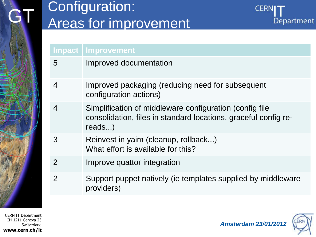## Configuration: Areas for improvement



#### **Impact Improvement**

- 5 Improved documentation
- 4 Improved packaging (reducing need for subsequent configuration actions)
- 4 Simplification of middleware configuration (config file consolidation, files in standard locations, graceful config rereads...)
- 3 Reinvest in yaim (cleanup, rollback...) What effort is available for this?
- 2 Improve quattor integration
- 2 Support puppet natively (ie templates supplied by middleware providers)

CERN IT Department CH-1211 Geneva 23 Switzerland **www.cern.ch/it**

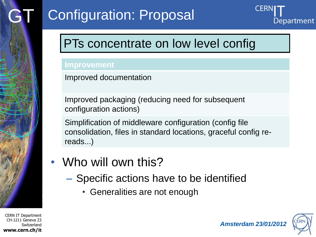

#### PTs concentrate on low level config

#### **Improvement**

Improved documentation

Improved packaging (reducing need for subsequent configuration actions)

Simplification of middleware configuration (config file consolidation, files in standard locations, graceful config rereads...)

- Who will own this?
	- Specific actions have to be identified
		- Generalities are not enough



*Amsterdam 23/01/2012*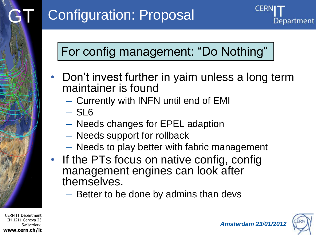### For config management: "Do Nothing"

- Don"t invest further in yaim unless a long term maintainer is found
	- Currently with INFN until end of EMI
	- SL6
	- Needs changes for EPEL adaption
	- Needs support for rollback
	- Needs to play better with fabric management
- If the PTs focus on native config, config management engines can look after themselves.
	- Better to be done by admins than devs



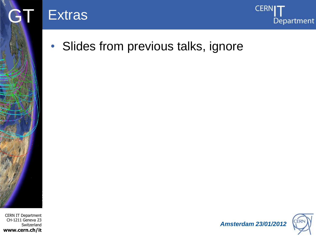

• Slides from previous talks, ignore

#### CERN IT Department CH-1211 Geneva 23 Switzerland **www.cern.ch/it**



**CERNI** 

Department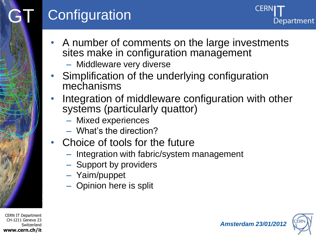# Configuration

Department

- A number of comments on the large investments sites make in configuration management
	- Middleware very diverse
- Simplification of the underlying configuration mechanisms
- Integration of middleware configuration with other systems (particularly quattor)
	- Mixed experiences
	- What"s the direction?
- Choice of tools for the future
	- Integration with fabric/system management
	- Support by providers
	- Yaim/puppet
	- Opinion here is split

CERN IT Department CH-1211 Geneva 23 **Switzerland www.cern.ch/it**

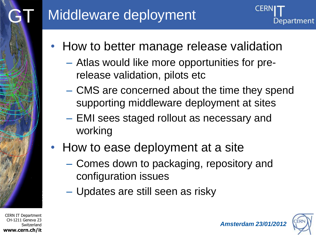

- How to better manage release validation
	- Atlas would like more opportunities for prerelease validation, pilots etc
	- CMS are concerned about the time they spend supporting middleware deployment at sites
	- EMI sees staged rollout as necessary and working
- How to ease deployment at a site
	- Comes down to packaging, repository and configuration issues
	- Updates are still seen as risky

CERN IT Department CH-1211 Geneva 23 Switzerland **www.cern.ch/it**